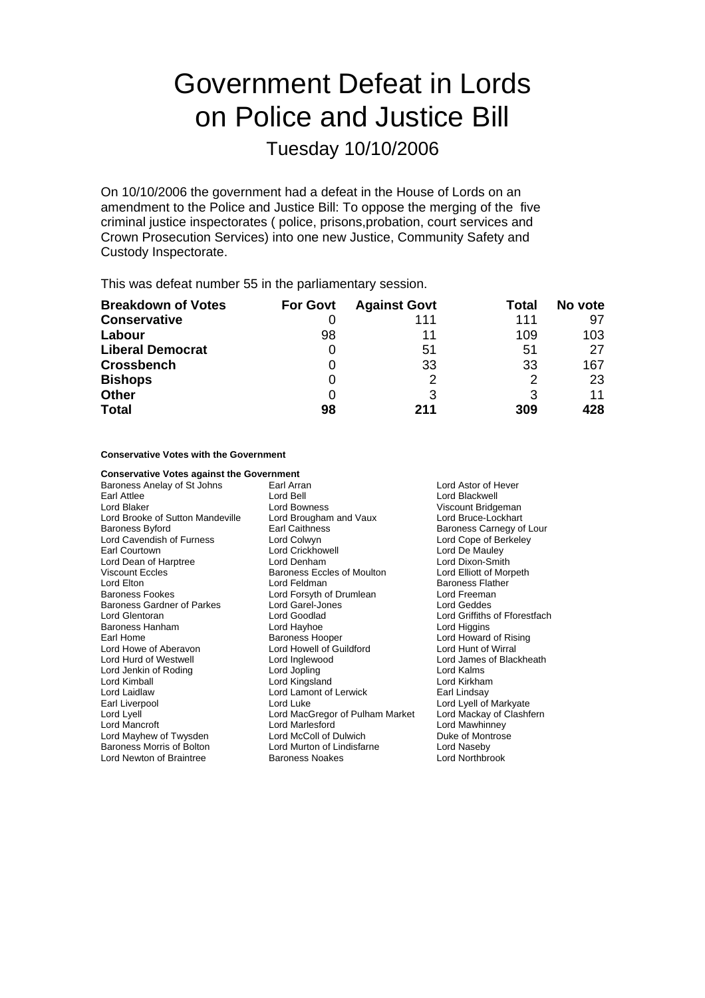# Government Defeat in Lords on Police and Justice Bill

Tuesday 10/10/2006

On 10/10/2006 the government had a defeat in the House of Lords on an amendment to the Police and Justice Bill: To oppose the merging of the five criminal justice inspectorates ( police, prisons,probation, court services and Crown Prosecution Services) into one new Justice, Community Safety and Custody Inspectorate.

This was defeat number 55 in the parliamentary session.

| <b>Breakdown of Votes</b> | <b>For Govt</b> | <b>Against Govt</b> | Total | No vote |
|---------------------------|-----------------|---------------------|-------|---------|
| <b>Conservative</b>       |                 | 111                 | 111   | 97      |
| Labour                    | 98              | 11                  | 109   | 103     |
| <b>Liberal Democrat</b>   | O               | 51                  | 51    | 27      |
| <b>Crossbench</b>         |                 | 33                  | 33    | 167     |
| <b>Bishops</b>            | 0               | 2                   | 2     | 23      |
| <b>Other</b>              | 0               |                     | 3     | 11      |
| <b>Total</b>              | 98              | 211                 | 309   | 428     |

**Conservative Votes with the Government**

**Conservative Votes against the Government**<br>Baroness Anelay of St Johns **Earl Arran** Baroness Anelay of St Johns Earl Arran Lord Astor of Hever Earl Attlee Lord Bell Lord Bold Lord Blackwell<br>
Lord Blackwell Lord Bold Bold Bold Bold Bold Bold Bold Bridge Lord Blackwell Viscount Bridgeman Lord Brooke of Sutton Mandeville Lord Brougham and Vaux Lord Bruce-Lockhart Baroness Byford **Earl Caithness** Earl Caithness **Baroness Carnegy of Lour**<br>
Lord Cavendish of Furness **Baroness** Lord Colwyn **Earl Connect Lord Cope of Berkeley** Lord Cavendish of Furness Lord Colwyn<br>
Farl Courtown Lord Crickhowell Lord De Mauley Lord Dean of Harptree **Reading Lord Denham** Lord Dixon-Smith Viscount Eccles **Baroness Eccles of Moulton** Lord Elliott of Morpeth Click Lord Elton Lord Feldman Lord Feldman Baroness Flather<br>
Baroness Fookes Corean Lord Forsyth of Drumlean Lord Freeman Lord Forsyth of Drumlean Lord Freeman<br>Lord Garel-Jones Lord Geddes Baroness Gardner of Parkes Lord Garel-Jones Lord General Action Lord Goodlad Lord Glentoran Lord Goodlad Lord Griffiths of Fforestfach Lord Higgins Earl Home **Baroness Hooper** Carl Home Lord Howard of Rising<br>
Lord Howe of Aberavon Lord Howell of Guildford **Lord Hunt of Wirral** Lord Howe of Aberavon Lord Howell of Guildford<br>
Lord Hurd of Westwell Lord Inglewood Lord Inglewood **Example 20 Lord James of Blackheath**<br>
Lord Jopling **Contains**<br>
Lord Kalms Lord Jenkin of Roding **Lord Lord Jopling Cord Cord Cord Kalms**<br>
Lord Kingsland **Lord Kingsland** Lord Kingsland Lord Kingsland Lord Kingsland Lord Kingsland Lord Kingsland Lord Kingsland Lord Kingsland Lord Kingsland Lord K Lord Kimball **Lord Kingsland** Lord Kingsland Lord Lamont of Lerwick<br>
Lord Laidlaw **Lord Lamont of Lerwick** Earl Lindsay Lord Lamont of Lerwick Earl Liverpool Lord Luke Lord Lyell of Markyate Lord Lyell Lord MacGregor of Pulham Market Lord Mackay of Clashfern Lord Mancroft Lord Marlesford Lord Mawhinney Lord Mayhew of Twysden Lord McColl of Dulwich Duke of Montroses Morris of Rolton Lord Murton of Lindisfarne Lord Naseby Baroness Morris of Bolton Lord Murton of Lindisfarne Lord Naseby Lord Newton of Braintree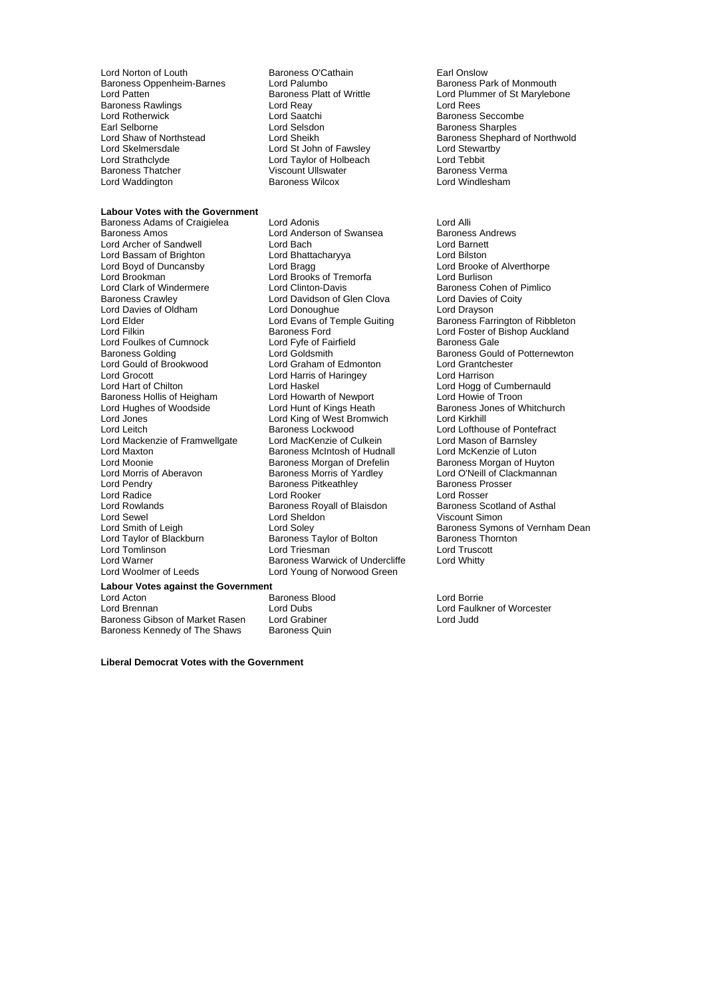Lord Norton of Louth **Baroness O'Cathain**<br>
Baroness Oppenheim-Barnes Lord Palumbo<br>
Baroness Park of Monmouth Baroness Oppenheim-Barnes Lord Palumbo<br>
Lord Patten **Baroness Platt of Writtle** Baroness Rawlings **Lord Reay**<br>
Lord Rotherwick **Lord Saatchi** Lord Rotherwi ck Lord Saatchi Baroness Seccombe Earl Selborne **Lord Selsdon**<br>
Lord Shaw of Northstead **Lord Sheikh**<br>
Lord Sheven Baroness Shepharc Lord Skelmersdale **Lord St John of Fawsley Cord Stewart Cord Stewart Cord Stewart Cord Telephone Cord Teylor Cord Teylor Cord Teylor Cord Teylor Cord Teylor Cord Teylor Cord Teylor Cord Teylor Cord Teylor Cord Teylor Cord** Lord Strathclyde Lord Taylor of Holbeach<br>
Baroness Thatcher Controll Ullswater Lord Waddington

## **Labour Votes with the Government**

Lord Archer of Sandwell Lord Bach<br>
Lord Bassam of Brighton Lord Bhattacharyya Lord Bassam of Brighton Lord Bhattacharyya Lord Bilston Lord Boyd of Duncansby **Lord Bragg Lord Brooke of Alverthorpe**<br>
Lord Brookman **Nord Brooke of Alverthorpe**<br>
Lord Brookman **Lord Brooke of Tremorfa** Lord Brookman **Lord Brooks of Tremorfa**<br>
Lord Clark of Windermere Lord Clinton-Davis Baroness Crawley **Caroness Crawley Community Cloud Davidson of Glen Clova** Cord Davies of Coity<br>
Lord Davies of Oldham **Communist Containery** Cord Drayson Lord Elder Lord Elder Lord Elder Lord Elder Lord Elder Lord Elder Lord Elder Lord Elder Lord Elder Lord Elder Lord Elder Lord Elder Lord Elder Lord Elder Lord Elder Lord Elder Lord Elder Lord Elder Lord Elder Lord Elder Lo Lord Foulkes of Cumnock Lord Fyfe of Fai<br>
Baroness Golding Container Lord Goldsmith Lord Grocott Lord Harris of Haringey Lord Harrison Baroness Hollis of Heigham Lord Howarth of Newport<br>
Lord Hughes of Woodside Lord Hunt of Kings Heath Lord Jones Lord King of West Bromwich Lord Kirkhill Lord Mackenzie of Framwellgate Lord Maxton **Example 2 Exercise Schools** Baroness McIntosh of Hudnall Lord McKenzie of Luton<br>
Lord Moonie **Container Baroness Morgan of Drefelin** Baroness Morgan of Huyton Lord Moonie<br>
Lord Morris of Aberavon<br>
Baroness Morris of Yardlev Lord Morris of Aberavon **Baroness Morris of Yardley** Lord O'Neill of Clackmannan<br>
Lord Pendry **Randy** Baroness Pitkeathley **Randy** Baroness Prosser Lord Radice **Lord Rooker** Lord Rooker **Lord Rooker** Lord Rosser<br>
Lord Rowlands **Lord Rooker Baroness Royall of Blaisdon** Baroness Scotland of Asthal Lord Rowlands **Baroness Royall of Blaisdon** Baroness Scotland Scotland Cord Sheldon and Asthaland Of Asthaland O<br>Lord Sheldon a Baroness Niscount Simon Lord Sewel Lord Sheldon<br>
Lord Smith of Leigh Lord Soley Lord Tomlinson Lord Warner **Baroness Warwick of Undercliffe** Lord Whitty Lord Woolmer of Leeds Lord Young of Norwood Green

Viscount Ullswater Franch Baroness Verma<br>Baroness Wilcox Franch Baroness Vermann Baroness Vilcox

Baroness Adams of Craigielea Lord Adonis<br>
Lord Anderson of Swansea Baroness Andrews<br>
Lord Anderson of Swansea Baroness Andrews Lord Anderson of Swansea **Baroness Andrews** Lord Baroness Andrews Baroness Andrews Baroness Andrews Baroness Andrews Andrews Andrews Andrews Andrews Andrews Andrews Andrews Andrews Andrews Andrews Andrews Andrews Andrews A Lord Graham of Edmonton Lord Haskel Lord Haskel Lord Hogg of Cumbernauld<br>
Lord Howarth of Newport Lord Howie of Troon Baroness Lockwood Lord Lofthouse of Pontefract<br>
Lord MacKenzie of Culkein Lord Mason of Barnslev Baroness Pitkeathley Baroness Taylor of Bolton Baroness Thornton Baroness Thornton Baroness Thornton Research Report Thornton Resear<br>
Baroness Taylor of Bolton r Baroness Thornton Research Research Research Research Research Research Research

### **Labour Votes against the Government**

Lord Acton **Contract Contract Actor** Baroness Blood Corrient Lord Borrient Lord Borrient Lord Borrient Lord Faulkn<br>Lord Brennan Corrient Lord Dubs Lord Brennan Lord Dubs Lord Faulkner of Worcester Baroness Gibson of Market Rasen Lord Grabiner<br>Baroness Kennedy of The Shaws Baroness Quin Baroness Kennedy of The Shaws

**Liberal Democrat Votes with the Government**

Baroness Platt of Writtle **Lord Plummer of St Marylebone**<br>
Lord Rees
Lord Rees Lord Shaw of Northstead Lord Sheikh Baroness Shephard of Northwold<br>
Lord Skelmersdale Lord St John of Fawsley Lord Stewartby<br>
Lord St John of Fawsley Lord Stewartby

Baroness Cohen of Pimlico Lord Davies of Oldham Lord Donoughue Lord Drayson<br>
Lord Elder Lord Evans of Temple Guiting Baroness Farrington of Ribbleton Baroness Ford **Election Control Lord Foster of Bishop Auckland**<br>
Lord Fyfe of Fairfield **Baroness** Gale Baroness Golding **Baroness Gould of Potternewton**<br>
Lord Gould of Brookwood **Lord Graham of Edmonton** Lord Grantchester Baroness Jones of Whitchurch Lord Smith of Leigh Lord Soley Lord Soley Baroness Symons of Vernham Dean<br>
Lord Taylor of Blackburn Baroness Taylor of Bolton Baroness Thornton